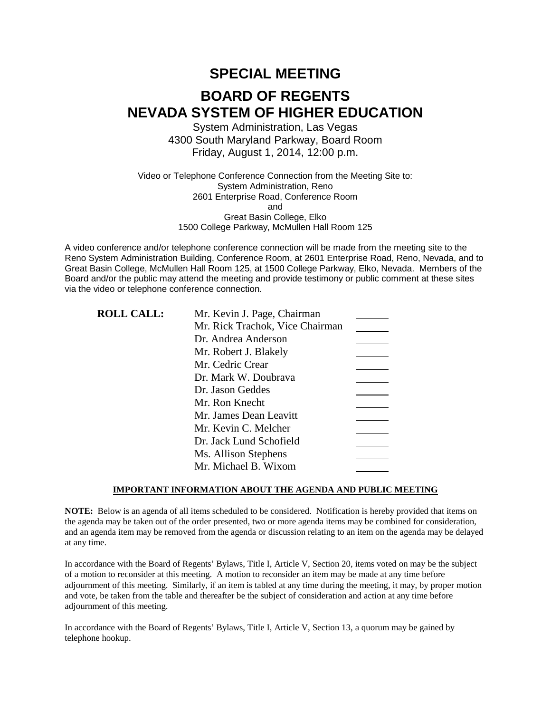# **SPECIAL MEETING BOARD OF REGENTS NEVADA SYSTEM OF HIGHER EDUCATION**

System Administration, Las Vegas 4300 South Maryland Parkway, Board Room Friday, August 1, 2014, 12:00 p.m.

Video or Telephone Conference Connection from the Meeting Site to: System Administration, Reno 2601 Enterprise Road, Conference Room and Great Basin College, Elko 1500 College Parkway, McMullen Hall Room 125

A video conference and/or telephone conference connection will be made from the meeting site to the Reno System Administration Building, Conference Room, at 2601 Enterprise Road, Reno, Nevada, and to Great Basin College, McMullen Hall Room 125, at 1500 College Parkway, Elko, Nevada. Members of the Board and/or the public may attend the meeting and provide testimony or public comment at these sites via the video or telephone conference connection.

| <b>ROLL CALL:</b> | Mr. Kevin J. Page, Chairman     |  |
|-------------------|---------------------------------|--|
|                   | Mr. Rick Trachok, Vice Chairman |  |
|                   | Dr. Andrea Anderson             |  |
|                   | Mr. Robert J. Blakely           |  |
|                   | Mr. Cedric Crear                |  |
|                   | Dr. Mark W. Doubrava            |  |
|                   | Dr. Jason Geddes                |  |
|                   | Mr. Ron Knecht                  |  |
|                   | Mr. James Dean Leavitt          |  |
|                   | Mr. Kevin C. Melcher            |  |
|                   | Dr. Jack Lund Schofield         |  |
|                   | Ms. Allison Stephens            |  |
|                   | Mr. Michael B. Wixom            |  |

### **IMPORTANT INFORMATION ABOUT THE AGENDA AND PUBLIC MEETING**

**NOTE:** Below is an agenda of all items scheduled to be considered. Notification is hereby provided that items on the agenda may be taken out of the order presented, two or more agenda items may be combined for consideration, and an agenda item may be removed from the agenda or discussion relating to an item on the agenda may be delayed at any time.

In accordance with the Board of Regents' Bylaws, Title I, Article V, Section 20, items voted on may be the subject of a motion to reconsider at this meeting. A motion to reconsider an item may be made at any time before adjournment of this meeting. Similarly, if an item is tabled at any time during the meeting, it may, by proper motion and vote, be taken from the table and thereafter be the subject of consideration and action at any time before adjournment of this meeting.

In accordance with the Board of Regents' Bylaws, Title I, Article V, Section 13, a quorum may be gained by telephone hookup.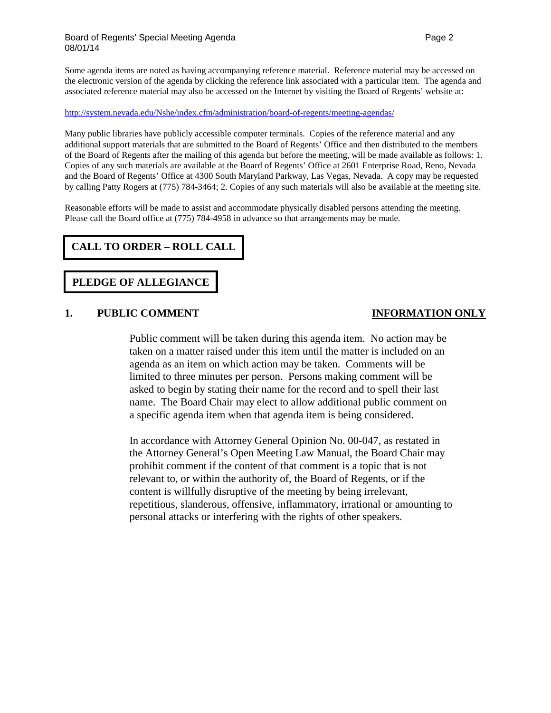### Board of Regents' Special Meeting Agenda Page 2 and 2 08/01/14

Some agenda items are noted as having accompanying reference material. Reference material may be accessed on the electronic version of the agenda by clicking the reference link associated with a particular item. The agenda and associated reference material may also be accessed on the Internet by visiting the Board of Regents' website at:

### <http://system.nevada.edu/Nshe/index.cfm/administration/board-of-regents/meeting-agendas/>

Many public libraries have publicly accessible computer terminals. Copies of the reference material and any additional support materials that are submitted to the Board of Regents' Office and then distributed to the members of the Board of Regents after the mailing of this agenda but before the meeting, will be made available as follows: 1. Copies of any such materials are available at the Board of Regents' Office at 2601 Enterprise Road, Reno, Nevada and the Board of Regents' Office at 4300 South Maryland Parkway, Las Vegas, Nevada. A copy may be requested by calling Patty Rogers at (775) 784-3464; 2. Copies of any such materials will also be available at the meeting site.

Reasonable efforts will be made to assist and accommodate physically disabled persons attending the meeting. Please call the Board office at (775) 784-4958 in advance so that arrangements may be made.

# **CALL TO ORDER – ROLL CALL**

# **PLEDGE OF ALLEGIANCE**

### **1. PUBLIC COMMENT INFORMATION ONLY**

Public comment will be taken during this agenda item. No action may be taken on a matter raised under this item until the matter is included on an agenda as an item on which action may be taken. Comments will be limited to three minutes per person. Persons making comment will be asked to begin by stating their name for the record and to spell their last name. The Board Chair may elect to allow additional public comment on a specific agenda item when that agenda item is being considered.

In accordance with Attorney General Opinion No. 00-047, as restated in the Attorney General's Open Meeting Law Manual, the Board Chair may prohibit comment if the content of that comment is a topic that is not relevant to, or within the authority of, the Board of Regents, or if the content is willfully disruptive of the meeting by being irrelevant, repetitious, slanderous, offensive, inflammatory, irrational or amounting to personal attacks or interfering with the rights of other speakers.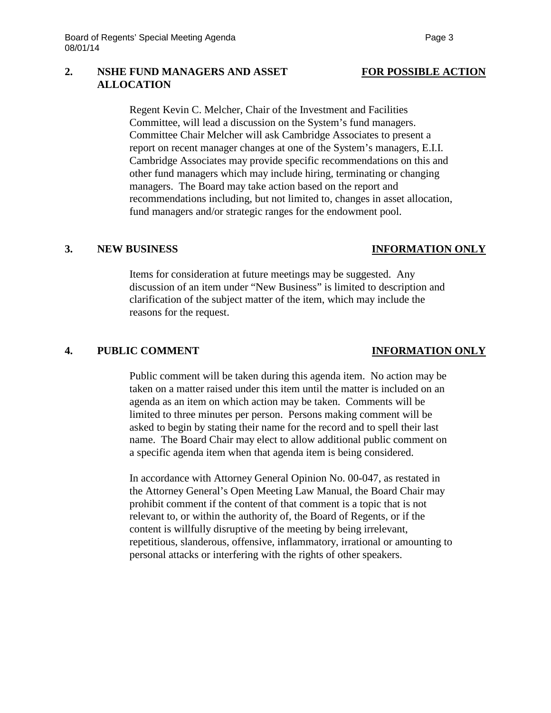## **2. NSHE FUND MANAGERS AND ASSET FOR POSSIBLE ACTION ALLOCATION**

Regent Kevin C. Melcher, Chair of the Investment and Facilities Committee, will lead a discussion on the System's fund managers. Committee Chair Melcher will ask Cambridge Associates to present a report on recent manager changes at one of the System's managers, E.I.I. Cambridge Associates may provide specific recommendations on this and other fund managers which may include hiring, terminating or changing managers. The Board may take action based on the report and recommendations including, but not limited to, changes in asset allocation, fund managers and/or strategic ranges for the endowment pool.

### **3. NEW BUSINESS INFORMATION ONLY**

Items for consideration at future meetings may be suggested. Any discussion of an item under "New Business" is limited to description and clarification of the subject matter of the item, which may include the reasons for the request.

## **4. PUBLIC COMMENT INFORMATION ONLY**

Public comment will be taken during this agenda item. No action may be taken on a matter raised under this item until the matter is included on an agenda as an item on which action may be taken. Comments will be limited to three minutes per person. Persons making comment will be asked to begin by stating their name for the record and to spell their last name. The Board Chair may elect to allow additional public comment on a specific agenda item when that agenda item is being considered.

In accordance with Attorney General Opinion No. 00-047, as restated in the Attorney General's Open Meeting Law Manual, the Board Chair may prohibit comment if the content of that comment is a topic that is not relevant to, or within the authority of, the Board of Regents, or if the content is willfully disruptive of the meeting by being irrelevant, repetitious, slanderous, offensive, inflammatory, irrational or amounting to personal attacks or interfering with the rights of other speakers.